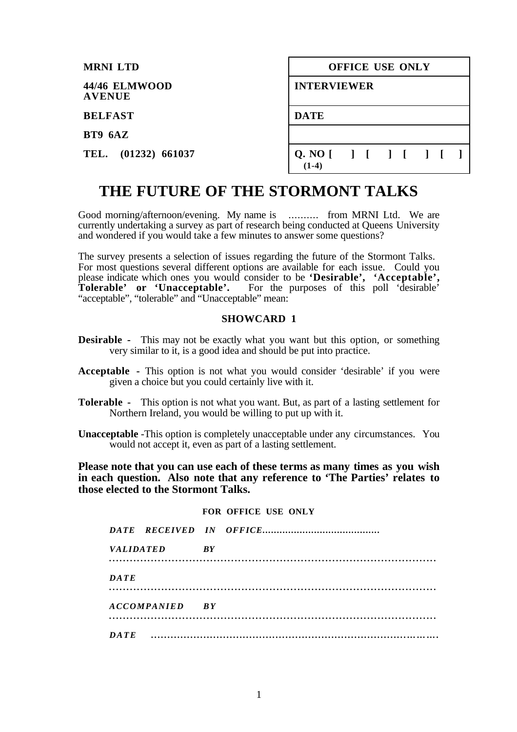| <b>MRNI LTD</b>                | OFFICE USE ONLY                      |  |  |  |  |
|--------------------------------|--------------------------------------|--|--|--|--|
| 44/46 ELMWOOD<br><b>AVENUE</b> | <b>INTERVIEWER</b>                   |  |  |  |  |
| <b>BELFAST</b>                 | <b>DATE</b>                          |  |  |  |  |
| BT9 6AZ                        |                                      |  |  |  |  |
| TEL. (01232) 661037            | Q. NO [ ] [ ] [ ] [ ] [ ]<br>$(1-4)$ |  |  |  |  |

# **THE FUTURE OF THE STORMONT TALKS**

Good morning/afternoon/evening. My name is ........... from MRNI Ltd. We are currently undertaking a survey as part of research being conducted at Queens University and wondered if you would take a few minutes to answer some questions?

The survey presents a selection of issues regarding the future of the Stormont Talks. For most questions several different options are available for each issue. Could you please indicate which ones you would consider to be **'Desirable', 'Acceptable', Tolerable' or 'Unacceptable'.** For the purposes of this poll 'desirable' "acceptable", "tolerable" and "Unacceptable" mean:

#### **SHOWCARD 1**

- **Desirable -** This may not be exactly what you want but this option, or something very similar to it, is a good idea and should be put into practice.
- **Acceptable -** This option is not what you would consider 'desirable' if you were given a choice but you could certainly live with it.
- **Tolerable** This option is not what you want. But, as part of a lasting settlement for Northern Ireland, you would be willing to put up with it.
- **Unacceptable** -This option is completely unacceptable under any circumstances. You would not accept it, even as part of a lasting settlement.

**Please note that you can use each of these terms as many times as you wish in each question. Also note that any reference to 'The Parties' relates to those elected to the Stormont Talks.**

#### **FOR OFFICE USE ONLY**

| <i>VALIDATED</i> |                | <b>RY</b> |  |
|------------------|----------------|-----------|--|
| DATE             |                |           |  |
|                  | ACCOMPANIED BY |           |  |
| <b>DATE</b>      |                |           |  |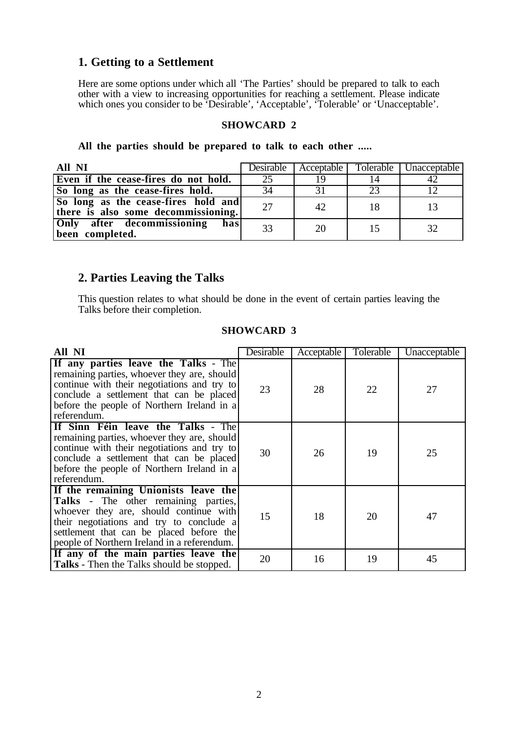## **1. Getting to a Settlement**

Here are some options under which all 'The Parties' should be prepared to talk to each other with a view to increasing opportunities for reaching a settlement. Please indicate which ones you consider to be 'Desirable', 'Acceptable', 'Tolerable' or 'Unacceptable'.

#### **SHOWCARD 2**

#### **All the parties should be prepared to talk to each other .....**

| All NI                                                                     |    |    |                | Desirable   Acceptable   Tolerable   Unacceptable |
|----------------------------------------------------------------------------|----|----|----------------|---------------------------------------------------|
| Even if the cease-fires do not hold.                                       |    |    | 14             |                                                   |
| So long as the cease-fires hold.                                           | 34 |    | 23             |                                                   |
| So long as the cease-fires hold and<br>there is also some decommissioning. | 27 | 42 |                |                                                   |
| Only after decommissioning<br>has<br>been completed.                       | 33 | 20 | 1 <sup>5</sup> |                                                   |

## **2. Parties Leaving the Talks**

This question relates to what should be done in the event of certain parties leaving the Talks before their completion.

| All NI                                                                                                                                                                                                                                                               | Desirable | Acceptable | Tolerable | Unacceptable |
|----------------------------------------------------------------------------------------------------------------------------------------------------------------------------------------------------------------------------------------------------------------------|-----------|------------|-----------|--------------|
| If any parties leave the Talks - The<br>remaining parties, whoever they are, should<br>continue with their negotiations and try to<br>conclude a settlement that can be placed<br>before the people of Northern Ireland in a<br>referendum.                          | 23        | 28         | 22        | 27           |
| If Sinn Féin leave the Talks - The<br>remaining parties, whoever they are, should<br>continue with their negotiations and try to<br>conclude a settlement that can be placed<br>before the people of Northern Ireland in a<br>referendum.                            | 30        | 26         | 19        | 25           |
| If the remaining Unionists leave the<br><b>Talks</b> - The other remaining parties,<br>whoever they are, should continue with<br>their negotiations and try to conclude a<br>settlement that can be placed before the<br>people of Northern Ireland in a referendum. | 15        | 18         | 20        | 47           |
| If any of the main parties leave the<br><b>Talks</b> - Then the Talks should be stopped.                                                                                                                                                                             | 20        | 16         | 19        | 45           |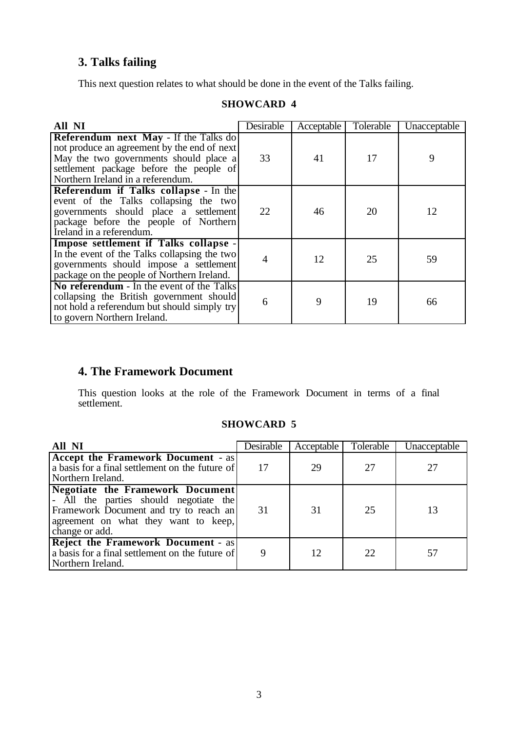## **3. Talks failing**

This next question relates to what should be done in the event of the Talks failing.

| All NI                                                                                                                                                                                                         | Desirable | Acceptable | Tolerable | Unacceptable |
|----------------------------------------------------------------------------------------------------------------------------------------------------------------------------------------------------------------|-----------|------------|-----------|--------------|
| Referendum next May - If the Talks do<br>not produce an agreement by the end of next<br>May the two governments should place a<br>settlement package before the people of<br>Northern Ireland in a referendum. | 33        | 41         | 17        | 9            |
| Referendum if Talks collapse - In the<br>event of the Talks collapsing the two<br>governments should place a settlement<br>package before the people of Northern<br>Ireland in a referendum.                   | 22        | 46         | 20        | 12           |
| Impose settlement if Talks collapse -<br>In the event of the Talks collapsing the two<br>governments should impose a settlement<br>package on the people of Northern Ireland.                                  |           | 12         | 25        | 59           |
| No referendum - In the event of the Talks<br>collapsing the British government should<br>not hold a referendum but should simply try<br>to govern Northern Ireland.                                            | 6         | 9          | 19        | 66           |

## **SHOWCARD 4**

## **4. The Framework Document**

This question looks at the role of the Framework Document in terms of a final settlement.

| All NI                                                                                                                                                                                | Desirable | Acceptable | Tolerable | Unacceptable |
|---------------------------------------------------------------------------------------------------------------------------------------------------------------------------------------|-----------|------------|-----------|--------------|
| <b>Accept the Framework Document - as</b><br>a basis for a final settlement on the future of<br>Northern Ireland.                                                                     | 17        | 29         | 27        | 27           |
| <b>Negotiate the Framework Document</b><br>- All the parties should negotiate the<br>Framework Document and try to reach an<br>agreement on what they want to keep,<br>change or add. | 31        | 31         | 25        | 13           |
| <b>Reject the Framework Document - as</b><br>a basis for a final settlement on the future of<br>Northern Ireland.                                                                     | 9         | 12         | 22        | 57           |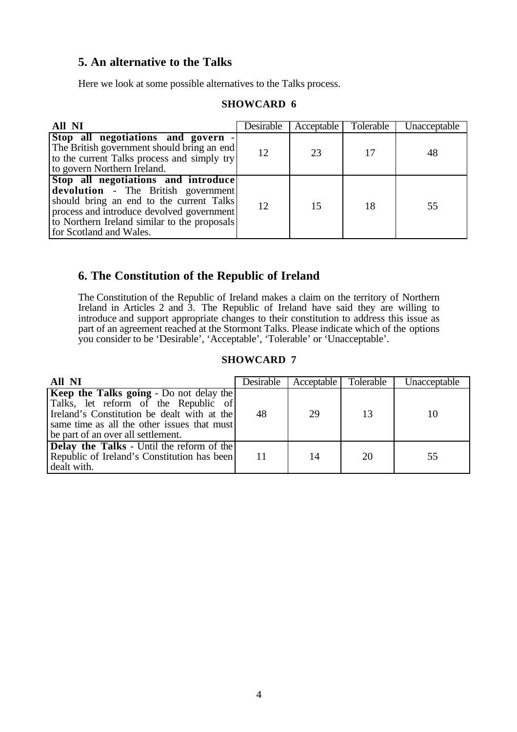## **5. An alternative to the Talks**

Here we look at some possible alternatives to the Talks process.

### **SHOWCARD 6**

| All NI                                                                                                                                                                                                                                                | Desirable | Acceptable | Tolerable | Unacceptable |
|-------------------------------------------------------------------------------------------------------------------------------------------------------------------------------------------------------------------------------------------------------|-----------|------------|-----------|--------------|
| Stop all negotiations and govern -<br>The British government should bring an end<br>to the current Talks process and simply try<br>to govern Northern Ireland.                                                                                        | 12        | 23         | 17        | 48           |
| Stop all negotiations and introduce<br><b>devolution</b> - The British government<br>should bring an end to the current Talks<br>process and introduce devolved government<br>to Northern Ireland similar to the proposals<br>for Scotland and Wales. | 12        | 15         | 18        | 55           |

## **6. The Constitution of the Republic of Ireland**

The Constitution of the Republic of Ireland makes a claim on the territory of Northern Ireland in Articles 2 and 3. The Republic of Ireland have said they are willing to introduce and support appropriate changes to their constitution to address this issue as part of an agreement reached at the Stormont Talks. Please indicate which of the options you consider to be 'Desirable', 'Acceptable', 'Tolerable' or 'Unacceptable'.

| All NI                                                                                                                                                                                                                     | Desirable | Acceptable | Tolerable | Unacceptable |
|----------------------------------------------------------------------------------------------------------------------------------------------------------------------------------------------------------------------------|-----------|------------|-----------|--------------|
| <b>Keep the Talks going - Do not delay the</b><br>Talks, let reform of the Republic of<br>Ireland's Constitution be dealt with at the<br>same time as all the other issues that must<br>be part of an over all settlement. | 48        | 29         | 13        | 10           |
| <b>Delay the Talks</b> - Until the reform of the<br>Republic of Ireland's Constitution has been<br>dealt with.                                                                                                             |           | 14         | 20        | 55           |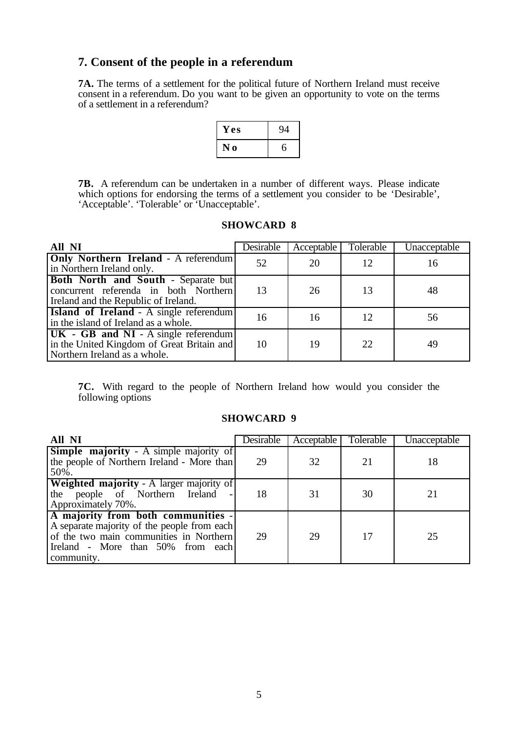## **7. Consent of the people in a referendum**

**7A.** The terms of a settlement for the political future of Northern Ireland must receive consent in a referendum. Do you want to be given an opportunity to vote on the terms of a settlement in a referendum?

| Y es             | Q, |
|------------------|----|
| $\mathbf 0$<br>N |    |

**7B.** A referendum can be undertaken in a number of different ways. Please indicate which options for endorsing the terms of a settlement you consider to be 'Desirable', 'Acceptable'. 'Tolerable' or 'Unacceptable'.

### **SHOWCARD 8**

| All NI                                                                                                                 | Desirable | Acceptable | Tolerable | Unacceptable |
|------------------------------------------------------------------------------------------------------------------------|-----------|------------|-----------|--------------|
| Only Northern Ireland - A referendum<br>in Northern Ireland only.                                                      | 52        | 20         | 12        | 16           |
| Both North and South - Separate but<br>concurrent referenda in both Northern<br>Ireland and the Republic of Ireland.   | 13        | 26         | 13        | 48           |
| <b>Island of Ireland</b> - A single referendum<br>in the island of Ireland as a whole.                                 | 16        | 16         | 12        | 56           |
| $[UK - GB and NI - A single referendum]$<br>in the United Kingdom of Great Britain and<br>Northern Ireland as a whole. | 10        | 19         | 22        | 49           |

**7C.** With regard to the people of Northern Ireland how would you consider the following options

| All NI                                                                                                                                                                          | Desirable | Acceptable | Tolerable | Unacceptable |
|---------------------------------------------------------------------------------------------------------------------------------------------------------------------------------|-----------|------------|-----------|--------------|
| <b>Simple majority</b> - A simple majority of<br>the people of Northern Ireland - More than<br>50%.                                                                             | 29        | 32         | 21        | 18           |
| <b>Weighted majority - A larger majority of</b><br>the people of Northern Ireland -<br>Approximately 70%.                                                                       | 18        | 31         | 30        | 21           |
| A majority from both communities -<br>A separate majority of the people from each<br>of the two main communities in Northern<br>Ireland - More than 50% from each<br>community. | 29        | 29         | 17        | 25           |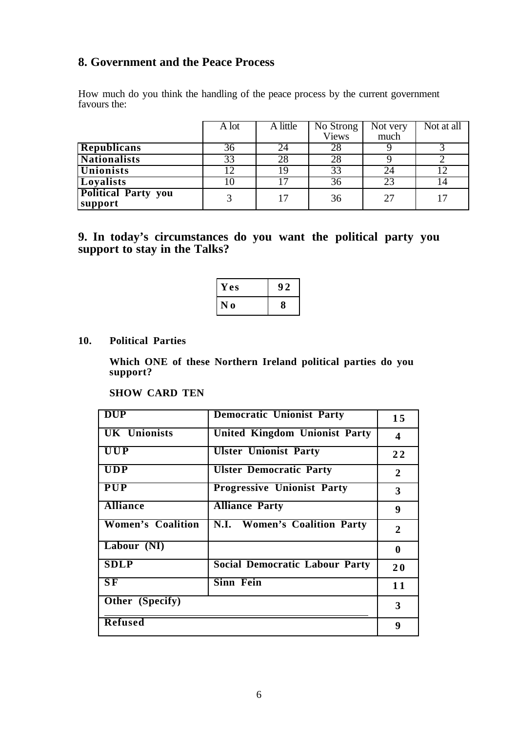## **8. Government and the Peace Process**

How much do you think the handling of the peace process by the current government favours the:

|                            | $\overline{A}$ lot | A little | No Strong | Not very | Not at all |
|----------------------------|--------------------|----------|-----------|----------|------------|
|                            |                    |          | Views     | much     |            |
| <b>Republicans</b>         | 36                 | 24       | 28        |          |            |
| <b>Nationalists</b>        | 33                 | 28       | 28        |          |            |
| Unionists                  |                    | 19       | 33        | 24       | 12         |
| <b>Loyalists</b>           |                    |          | 36        | 23       |            |
| <b>Political Party you</b> |                    |          | 36        | 27       |            |
| support                    |                    |          |           |          |            |

## **9. In today's circumstances do you want the political party you support to stay in the Talks?**

| Y es             | y, |
|------------------|----|
| N<br>$\mathbf 0$ | 8  |

### **10. Political Parties**

**Which ONE of these Northern Ireland political parties do you support?**

#### **SHOW CARD TEN**

| <b>DUP</b>               | <b>Democratic Unionist Party</b>      | 15             |
|--------------------------|---------------------------------------|----------------|
| <b>UK</b> Unionists      | <b>United Kingdom Unionist Party</b>  | 4              |
| <b>UUP</b>               | <b>Ulster Unionist Party</b>          | 22             |
| <b>UDP</b>               | <b>Ulster Democratic Party</b>        | $\overline{2}$ |
| <b>PUP</b>               | <b>Progressive Unionist Party</b>     | 3              |
| <b>Alliance</b>          | <b>Alliance Party</b>                 | 9              |
| <b>Women's Coalition</b> | N.I. Women's Coalition Party          | $\mathbf{2}$   |
| Labour $(NI)$            |                                       | $\bf{0}$       |
| <b>SDLP</b>              | <b>Social Democratic Labour Party</b> | 20             |
| $S\overline{F}$          | <b>Sinn Fein</b>                      | 11             |
| Other (Specify)          |                                       | 3              |
| <b>Refused</b>           |                                       | 9              |